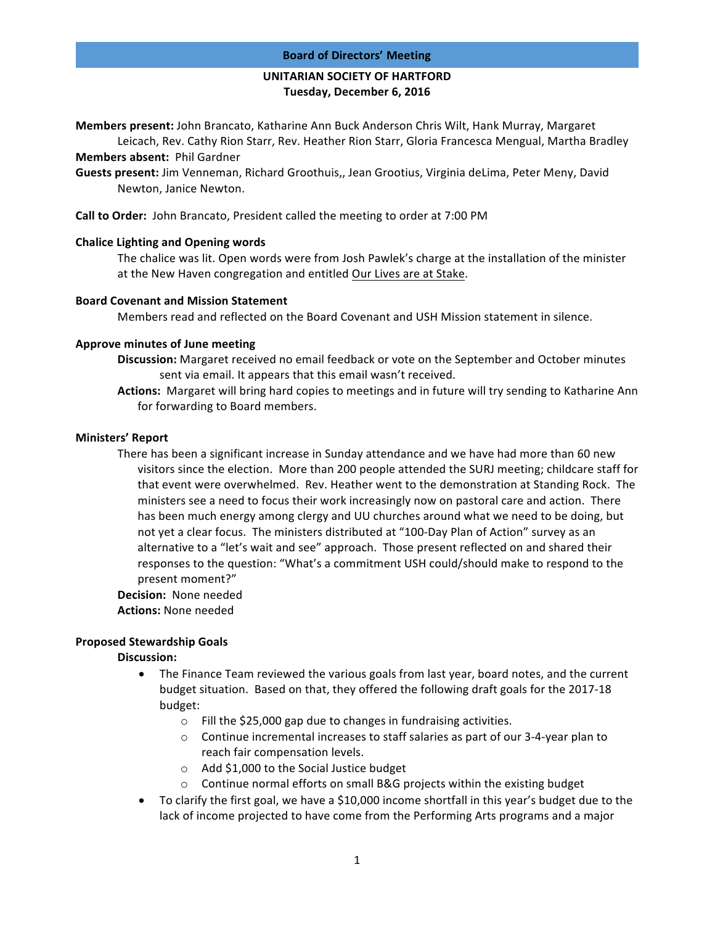### **Board of Directors' Meeting**

# **UNITARIAN SOCIETY OF HARTFORD Tuesday, December 6, 2016**

**Members present:** John Brancato, Katharine Ann Buck Anderson Chris Wilt, Hank Murray, Margaret Leicach, Rev. Cathy Rion Starr, Rev. Heather Rion Starr, Gloria Francesca Mengual, Martha Bradley

**Members absent: Phil Gardner** 

Guests present: Jim Venneman, Richard Groothuis,, Jean Grootius, Virginia deLima, Peter Meny, David Newton, Janice Newton.

**Call to Order:** John Brancato, President called the meeting to order at 7:00 PM

# **Chalice Lighting and Opening words**

The chalice was lit. Open words were from Josh Pawlek's charge at the installation of the minister at the New Haven congregation and entitled Our Lives are at Stake.

### **Board Covenant and Mission Statement**

Members read and reflected on the Board Covenant and USH Mission statement in silence.

# **Approve minutes of June meeting**

- **Discussion:** Margaret received no email feedback or vote on the September and October minutes sent via email. It appears that this email wasn't received.
- Actions: Margaret will bring hard copies to meetings and in future will try sending to Katharine Ann for forwarding to Board members.

# **Ministers' Report**

There has been a significant increase in Sunday attendance and we have had more than 60 new visitors since the election. More than 200 people attended the SURJ meeting; childcare staff for that event were overwhelmed. Rev. Heather went to the demonstration at Standing Rock. The ministers see a need to focus their work increasingly now on pastoral care and action. There has been much energy among clergy and UU churches around what we need to be doing, but not yet a clear focus. The ministers distributed at "100-Day Plan of Action" survey as an alternative to a "let's wait and see" approach. Those present reflected on and shared their responses to the question: "What's a commitment USH could/should make to respond to the present moment?"

**Decision:** None needed **Actions: None needed** 

# **Proposed Stewardship Goals**

# Discussion:

- The Finance Team reviewed the various goals from last year, board notes, and the current budget situation. Based on that, they offered the following draft goals for the 2017-18 budget:
	- $\circ$  Fill the \$25,000 gap due to changes in fundraising activities.
	- $\circ$  Continue incremental increases to staff salaries as part of our 3-4-year plan to reach fair compensation levels.
	- $\circ$  Add \$1,000 to the Social Justice budget
	- $\circ$  Continue normal efforts on small B&G projects within the existing budget
- To clarify the first goal, we have a \$10,000 income shortfall in this year's budget due to the lack of income projected to have come from the Performing Arts programs and a major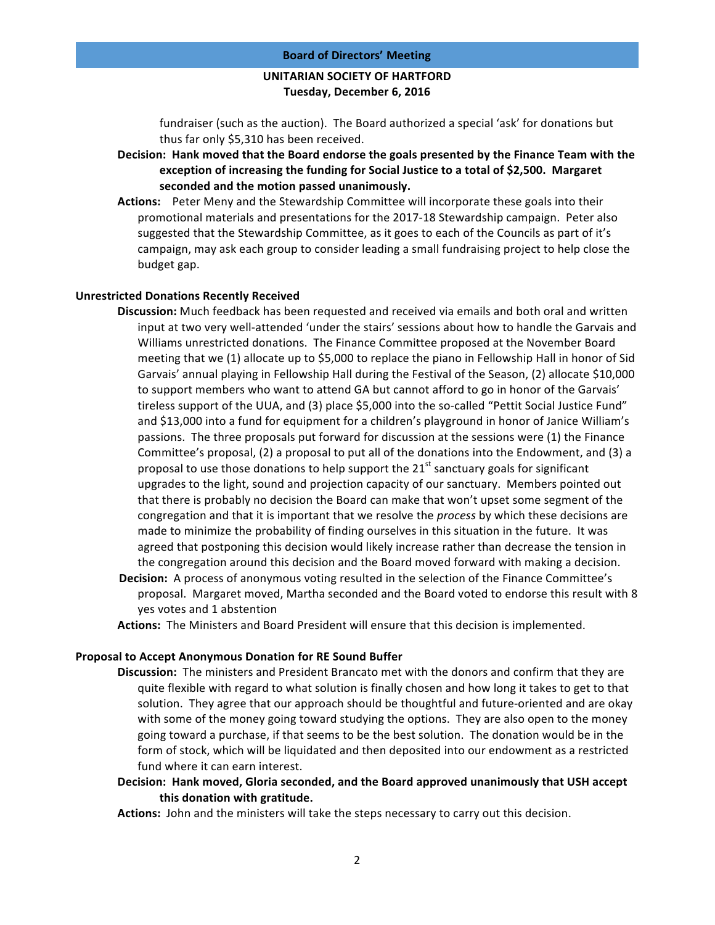# **UNITARIAN SOCIETY OF HARTFORD Tuesday, December 6, 2016**

fundraiser (such as the auction). The Board authorized a special 'ask' for donations but thus far only \$5,310 has been received.

- Decision: Hank moved that the Board endorse the goals presented by the Finance Team with the exception of increasing the funding for Social Justice to a total of \$2,500. Margaret seconded and the motion passed unanimously.
- **Actions:** Peter Meny and the Stewardship Committee will incorporate these goals into their promotional materials and presentations for the 2017-18 Stewardship campaign. Peter also suggested that the Stewardship Committee, as it goes to each of the Councils as part of it's campaign, may ask each group to consider leading a small fundraising project to help close the budget gap.

### **Unrestricted Donations Recently Received**

- **Discussion:** Much feedback has been requested and received via emails and both oral and written input at two very well-attended 'under the stairs' sessions about how to handle the Garvais and Williams unrestricted donations. The Finance Committee proposed at the November Board meeting that we (1) allocate up to \$5,000 to replace the piano in Fellowship Hall in honor of Sid Garvais' annual playing in Fellowship Hall during the Festival of the Season, (2) allocate \$10,000 to support members who want to attend GA but cannot afford to go in honor of the Garvais' tireless support of the UUA, and (3) place \$5,000 into the so-called "Pettit Social Justice Fund" and \$13,000 into a fund for equipment for a children's playground in honor of Janice William's passions. The three proposals put forward for discussion at the sessions were (1) the Finance Committee's proposal, (2) a proposal to put all of the donations into the Endowment, and (3) a proposal to use those donations to help support the  $21<sup>st</sup>$  sanctuary goals for significant upgrades to the light, sound and projection capacity of our sanctuary. Members pointed out that there is probably no decision the Board can make that won't upset some segment of the congregation and that it is important that we resolve the *process* by which these decisions are made to minimize the probability of finding ourselves in this situation in the future. It was agreed that postponing this decision would likely increase rather than decrease the tension in the congregation around this decision and the Board moved forward with making a decision.
- **Decision:** A process of anonymous voting resulted in the selection of the Finance Committee's proposal. Margaret moved, Martha seconded and the Board voted to endorse this result with 8 yes votes and 1 abstention
- Actions: The Ministers and Board President will ensure that this decision is implemented.

#### **Proposal to Accept Anonymous Donation for RE Sound Buffer**

**Discussion:** The ministers and President Brancato met with the donors and confirm that they are quite flexible with regard to what solution is finally chosen and how long it takes to get to that solution. They agree that our approach should be thoughtful and future-oriented and are okay with some of the money going toward studying the options. They are also open to the money going toward a purchase, if that seems to be the best solution. The donation would be in the form of stock, which will be liquidated and then deposited into our endowment as a restricted fund where it can earn interest.

Decision: Hank moved, Gloria seconded, and the Board approved unanimously that USH accept **this donation with gratitude.**

**Actions:** John and the ministers will take the steps necessary to carry out this decision.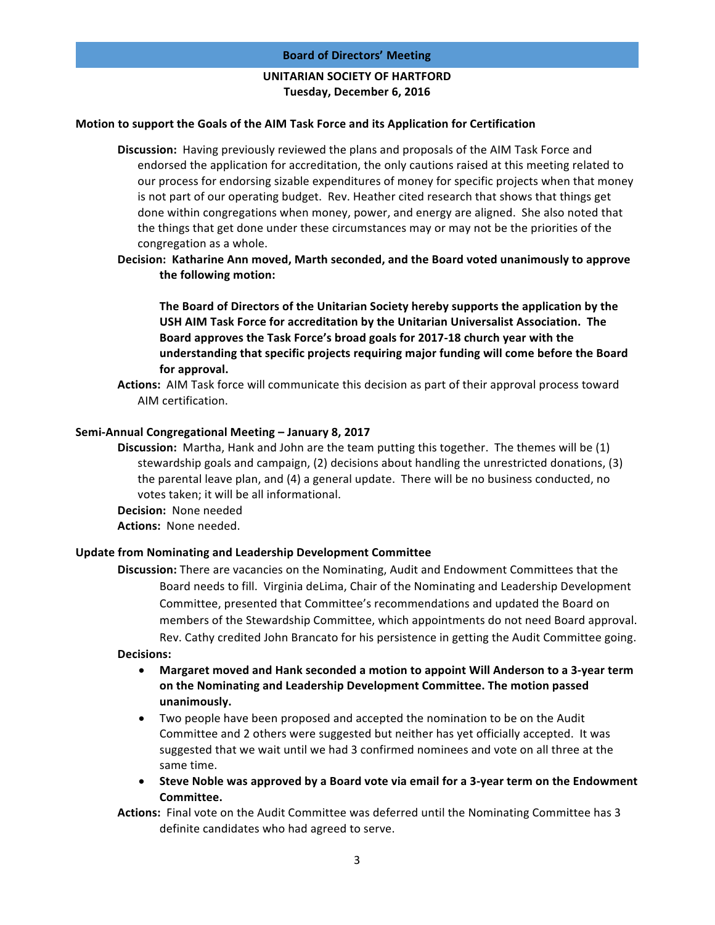### **Board of Directors' Meeting**

# **UNITARIAN SOCIETY OF HARTFORD Tuesday, December 6, 2016**

### **Motion to support the Goals of the AIM Task Force and its Application for Certification**

**Discussion:** Having previously reviewed the plans and proposals of the AIM Task Force and endorsed the application for accreditation, the only cautions raised at this meeting related to our process for endorsing sizable expenditures of money for specific projects when that money is not part of our operating budget. Rev. Heather cited research that shows that things get done within congregations when money, power, and energy are aligned. She also noted that the things that get done under these circumstances may or may not be the priorities of the congregation as a whole.

Decision: Katharine Ann moved, Marth seconded, and the Board voted unanimously to approve the following motion:

The Board of Directors of the Unitarian Society hereby supports the application by the **USH AIM Task Force for accreditation by the Unitarian Universalist Association. The** Board approves the Task Force's broad goals for 2017-18 church year with the understanding that specific projects requiring major funding will come before the Board for approval.

**Actions:** AIM Task force will communicate this decision as part of their approval process toward AIM certification.

### **Semi-Annual Congregational Meeting – January 8, 2017**

- **Discussion:** Martha, Hank and John are the team putting this together. The themes will be (1) stewardship goals and campaign,  $(2)$  decisions about handling the unrestricted donations,  $(3)$ the parental leave plan, and (4) a general update. There will be no business conducted, no votes taken; it will be all informational.
- **Decision:** None needed
- Actions: None needed.

#### **Update from Nominating and Leadership Development Committee**

**Discussion:** There are vacancies on the Nominating, Audit and Endowment Committees that the Board needs to fill. Virginia deLima, Chair of the Nominating and Leadership Development Committee, presented that Committee's recommendations and updated the Board on members of the Stewardship Committee, which appointments do not need Board approval. Rev. Cathy credited John Brancato for his persistence in getting the Audit Committee going.

# **Decisions:**

- Margaret moved and Hank seconded a motion to appoint Will Anderson to a 3-year term on the Nominating and Leadership Development Committee. The motion passed **unanimously.**
- Two people have been proposed and accepted the nomination to be on the Audit Committee and 2 others were suggested but neither has yet officially accepted. It was suggested that we wait until we had 3 confirmed nominees and vote on all three at the same time.
- Steve Noble was approved by a Board vote via email for a 3-year term on the Endowment **Committee.**

**Actions:** Final vote on the Audit Committee was deferred until the Nominating Committee has 3 definite candidates who had agreed to serve.